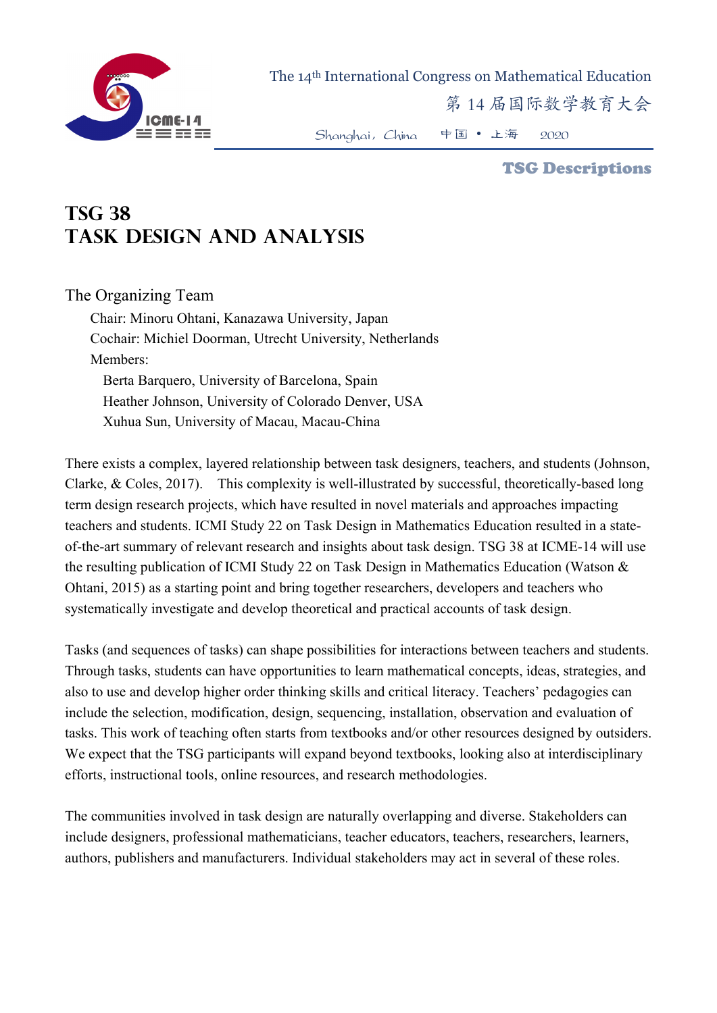

The 14th International Congress on Mathematical Education

第 14 届国际数学教育大会

Shanghai,China 中国 • 上海 2020

TSG Descriptions

## **TSG 38 Task design and analysis**

The Organizing Team

Chair: Minoru Ohtani, Kanazawa University, Japan Cochair: Michiel Doorman, Utrecht University, Netherlands Members: Berta Barquero, University of Barcelona, Spain Heather Johnson, University of Colorado Denver, USA Xuhua Sun, University of Macau, Macau-China

There exists a complex, layered relationship between task designers, teachers, and students (Johnson, Clarke, & Coles, 2017). This complexity is well-illustrated by successful, theoretically-based long term design research projects, which have resulted in novel materials and approaches impacting teachers and students. ICMI Study 22 on Task Design in Mathematics Education resulted in a stateof-the-art summary of relevant research and insights about task design. TSG 38 at ICME-14 will use the resulting publication of ICMI Study 22 on Task Design in Mathematics Education (Watson & Ohtani, 2015) as a starting point and bring together researchers, developers and teachers who systematically investigate and develop theoretical and practical accounts of task design.

Tasks (and sequences of tasks) can shape possibilities for interactions between teachers and students. Through tasks, students can have opportunities to learn mathematical concepts, ideas, strategies, and also to use and develop higher order thinking skills and critical literacy. Teachers' pedagogies can include the selection, modification, design, sequencing, installation, observation and evaluation of tasks. This work of teaching often starts from textbooks and/or other resources designed by outsiders. We expect that the TSG participants will expand beyond textbooks, looking also at interdisciplinary efforts, instructional tools, online resources, and research methodologies.

The communities involved in task design are naturally overlapping and diverse. Stakeholders can include designers, professional mathematicians, teacher educators, teachers, researchers, learners, authors, publishers and manufacturers. Individual stakeholders may act in several of these roles.